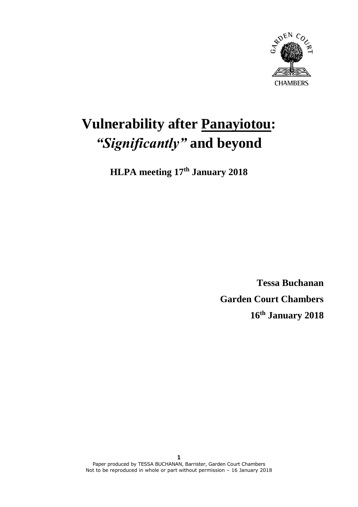

# **Vulnerability after Panayiotou:** *"Significantly"* **and beyond**

**HLPA meeting 17th January 2018**

**Tessa Buchanan Garden Court Chambers 16th January 2018**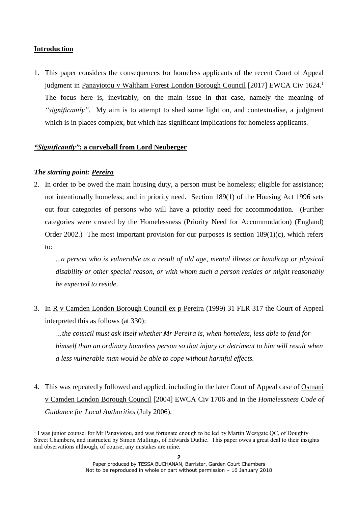# **Introduction**

1. This paper considers the consequences for homeless applicants of the recent Court of Appeal judgment in Panayiotou v Waltham Forest London Borough Council [2017] EWCA Civ 1624.<sup>1</sup> The focus here is, inevitably, on the main issue in that case, namely the meaning of *"significantly"*. My aim is to attempt to shed some light on, and contextualise, a judgment which is in places complex, but which has significant implications for homeless applicants.

# *"Significantly"***: a curveball from Lord Neuberger**

# *The starting point: Pereira*

-

2. In order to be owed the main housing duty, a person must be homeless; eligible for assistance; not intentionally homeless; and in priority need. Section 189(1) of the Housing Act 1996 sets out four categories of persons who will have a priority need for accommodation. (Further categories were created by the Homelessness (Priority Need for Accommodation) (England) Order 2002.) The most important provision for our purposes is section 189(1)(c), which refers to:

*...a person who is vulnerable as a result of old age, mental illness or handicap or physical disability or other special reason, or with whom such a person resides or might reasonably be expected to reside*.

3. In R v Camden London Borough Council ex p Pereira (1999) 31 FLR 317 the Court of Appeal interpreted this as follows (at 330):

*…the council must ask itself whether Mr Pereira is, when homeless, less able to fend for himself than an ordinary homeless person so that injury or detriment to him will result when a less vulnerable man would be able to cope without harmful effects.*

4. This was repeatedly followed and applied, including in the later Court of Appeal case of Osmani v Camden London Borough Council [2004] EWCA Civ 1706 and in the *Homelessness Code of Guidance for Local Authorities* (July 2006).

<sup>&</sup>lt;sup>1</sup> I was junior counsel for Mr Panayiotou, and was fortunate enough to be led by Martin Westgate QC, of Doughty Street Chambers, and instructed by Simon Mullings, of Edwards Duthie. This paper owes a great deal to their insights and observations although, of course, any mistakes are mine.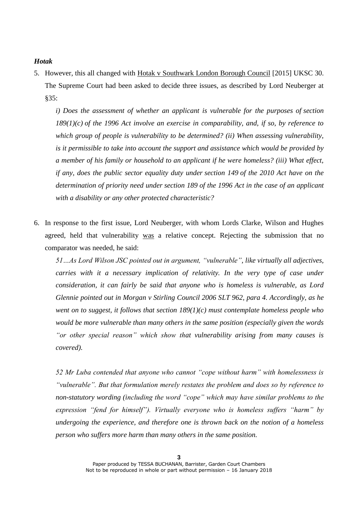#### *Hotak*

5. However, this all changed with Hotak v Southwark London Borough Council [2015] UKSC 30. The Supreme Court had been asked to decide three issues, as described by Lord Neuberger at §35:

*i) Does the assessment of whether an applicant is vulnerable for the purposes of [section](https://login.westlaw.co.uk/maf/wluk/app/document?src=doc&linktype=ref&context=18&crumb-action=replace&docguid=I29758D50E44F11DA8D70A0E70A78ED65) [189\(1\)\(c\)](https://login.westlaw.co.uk/maf/wluk/app/document?src=doc&linktype=ref&context=18&crumb-action=replace&docguid=I29758D50E44F11DA8D70A0E70A78ED65) of the 1996 Act involve an exercise in comparability, and, if so, by reference to which group of people is vulnerability to be determined? (ii) When assessing vulnerability, is it permissible to take into account the support and assistance which would be provided by a member of his family or household to an applicant if he were homeless? (iii) What effect, if any, does the public sector equality duty under [section 149](https://login.westlaw.co.uk/maf/wluk/app/document?src=doc&linktype=ref&context=18&crumb-action=replace&docguid=IC6AA5A63491811DFA52897A37C152D8C) of the 2010 Act have on the determination of priority need under [section 189](https://login.westlaw.co.uk/maf/wluk/app/document?src=doc&linktype=ref&context=18&crumb-action=replace&docguid=I29758D50E44F11DA8D70A0E70A78ED65) of the 1996 Act in the case of an applicant with a disability or any other protected characteristic?*

6. In response to the first issue, Lord Neuberger, with whom Lords Clarke, Wilson and Hughes agreed, held that vulnerability was a relative concept. Rejecting the submission that no comparator was needed, he said:

*51…As Lord Wilson JSC pointed out in argument, "vulnerable", like virtually all adjectives, carries with it a necessary implication of relativity. In the very type of case under consideration, it can fairly be said that anyone who is homeless is vulnerable, as Lord Glennie pointed out in Morgan v Stirling Council 2006 SLT 962, para 4. Accordingly, as he went on to suggest, it follows that section 189(1)(c) must contemplate homeless people who would be more vulnerable than many others in the same position (especially given the words "or other special reason" which show that vulnerability arising from many causes is covered).*

*52 Mr Luba contended that anyone who cannot "cope without harm" with homelessness is "vulnerable". But that formulation merely restates the problem and does so by reference to non-statutory wording (including the word "cope" which may have similar problems to the expression "fend for himself"). Virtually everyone who is homeless suffers "harm" by undergoing the experience, and therefore one is thrown back on the notion of a homeless person who suffers more harm than many others in the same position.*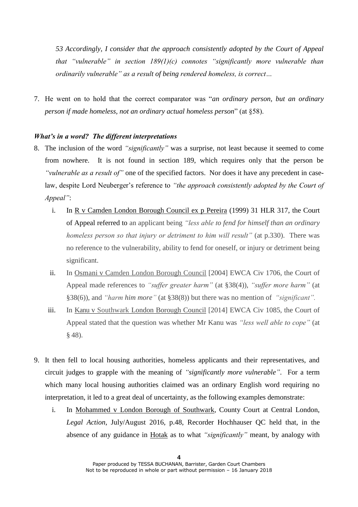*53 Accordingly, I consider that the approach consistently adopted by the Court of Appeal that "vulnerable" in section 189(1)(c) connotes "significantly more vulnerable than ordinarily vulnerable" as a result of being rendered homeless, is correct…*

7. He went on to hold that the correct comparator was "*an ordinary person, but an ordinary person if made homeless, not an ordinary actual homeless person*" (at §58).

## *What's in a word? The different interpretations*

- 8. The inclusion of the word *"significantly"* was a surprise, not least because it seemed to come from nowhere. It is not found in section 189, which requires only that the person be *"vulnerable as a result of"* one of the specified factors. Nor does it have any precedent in caselaw, despite Lord Neuberger's reference to *"the approach consistently adopted by the Court of Appeal"*:
	- i. In R v Camden London Borough Council ex p Pereira (1999) 31 HLR 317, the Court of Appeal referred to an applicant being *"less able to fend for himself than an ordinary homeless person so that injury or detriment to him will result"* (at p.330). There was no reference to the vulnerability, ability to fend for oneself, or injury or detriment being significant.
	- ii. In Osmani v Camden London Borough Council [2004] EWCA Civ 1706, the Court of Appeal made references to *"suffer greater harm"* (at §38(4)), *"suffer more harm"* (at §38(6)), and *"harm him more"* (at §38(8)) but there was no mention of *"significant".*
	- iii. In Kanu v Southwark London Borough Council [2014] EWCA Civ 1085, the Court of Appeal stated that the question was whether Mr Kanu was *"less well able to cope"* (at § 48).
- 9. It then fell to local housing authorities, homeless applicants and their representatives, and circuit judges to grapple with the meaning of *"significantly more vulnerable"*. For a term which many local housing authorities claimed was an ordinary English word requiring no interpretation, it led to a great deal of uncertainty, as the following examples demonstrate:
	- i. In Mohammed v London Borough of Southwark, County Court at Central London, *Legal Action*, July/August 2016, p.48, Recorder Hochhauser QC held that, in the absence of any guidance in Hotak as to what *"significantly"* meant, by analogy with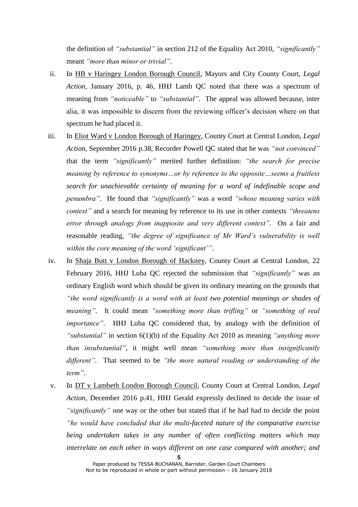the definition of *"substantial"* in section 212 of the Equality Act 2010, *"significantly"* meant *"more than minor or trivial"*.

- ii. In HB v Haringey London Borough Council, Mayors and City County Court, *Legal Action*, January 2016, p. 46, HHJ Lamb QC noted that there was a spectrum of meaning from *"noticeable"* to *"substantial"*. The appeal was allowed because, inter alia, it was impossible to discern from the reviewing officer's decision where on that spectrum he had placed it.
- iii. In Eliot Ward v London Borough of Haringey, County Court at Central London, *Legal Action*, September 2016 p.38, Recorder Powell QC stated that he was *"not convinced"* that the term *"significantly"* merited further definition: *"the search for precise meaning by reference to synonyms…or by reference to the opposite…seems a fruitless search for unachievable certainty of meaning for a word of indefinable scope and penumbra"*. He found that *"significantly"* was a word *"whose meaning varies with context"* and a search for meaning by reference to its use in other contexts *"threatens error through analogy from inapposite and very different context"*. On a fair and reasonable reading, *"the degree of significance of Mr Ward's vulnerability is well within the core meaning of the word 'significant'"*.
- iv. In Shaja Butt v London Borough of Hackney, County Court at Central London, 22 February 2016, HHJ Luba QC rejected the submission that *"significantly"* was an ordinary English word which should be given its ordinary meaning on the grounds that *"the word significantly is a word with at least two potential meanings or shades of meaning"*. It could mean *"something more than trifling"* or *"something of real importance"*. HHJ Luba QC considered that, by analogy with the definition of *"substantial"* in section 6(1)(b) of the Equality Act 2010 as meaning *"anything more than insubstantial"*, it might well mean *"something more than insignificantly different"*. That seemed to be *"the more natural reading or understanding of the term"*.
- v. In DT v Lambeth London Borough Council, County Court at Central London, *Legal Action*, December 2016 p.41, HHJ Gerald expressly declined to decide the issue of *"significantly"* one way or the other but stated that if he had had to decide the point *"he would have concluded that the multi-faceted nature of the comparative exercise being undertaken takes in any number of often conflicting matters which may interrelate on each other in ways different on one case compared with another; and*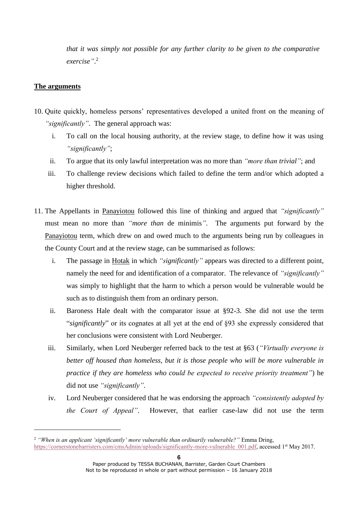*that it was simply not possible for any further clarity to be given to the comparative exercise"*. 2

# **The arguments**

-

- 10. Quite quickly, homeless persons' representatives developed a united front on the meaning of *"significantly"*. The general approach was:
	- i. To call on the local housing authority, at the review stage, to define how it was using *"significantly"*;
	- ii. To argue that its only lawful interpretation was no more than *"more than trivial"*; and
	- iii. To challenge review decisions which failed to define the term and/or which adopted a higher threshold.
- 11. The Appellants in Panayiotou followed this line of thinking and argued that *"significantly"* must mean no more than *"more than* de minimis*"*. The arguments put forward by the Panayiotou term, which drew on and owed much to the arguments being run by colleagues in the County Court and at the review stage, can be summarised as follows:
	- i. The passage in Hotak in which *"significantly"* appears was directed to a different point, namely the need for and identification of a comparator. The relevance of *"significantly"* was simply to highlight that the harm to which a person would be vulnerable would be such as to distinguish them from an ordinary person.
	- ii. Baroness Hale dealt with the comparator issue at §92-3. She did not use the term "*significantly*" or its cognates at all yet at the end of §93 she expressly considered that her conclusions were consistent with Lord Neuberger.
	- iii. Similarly, when Lord Neuberger referred back to the test at §63 (*"Virtually everyone is better off housed than homeless, but it is those people who will be more vulnerable in practice if they are homeless who could be expected to receive priority treatment"*) he did not use *"significantly"*.
	- iv. Lord Neuberger considered that he was endorsing the approach *"consistently adopted by the Court of Appeal"*. However, that earlier case-law did not use the term

<sup>2</sup> *"When is an applicant 'significantly' more vulnerable than ordinarily vulnerable?"* Emma Dring, [https://cornerstonebarristers.com/cmsAdmin/uploads/significantly-more-vulnerable\\_001.pdf,](https://cornerstonebarristers.com/cmsAdmin/uploads/significantly-more-vulnerable_001.pdf) accessed 1<sup>st</sup> May 2017.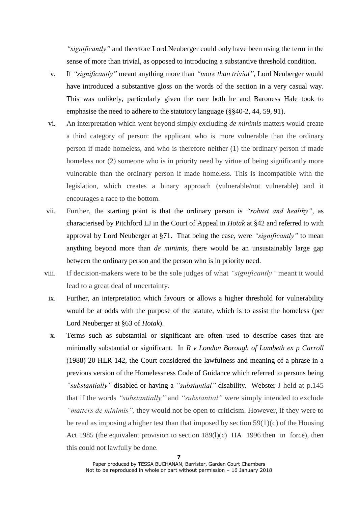*"significantly"* and therefore Lord Neuberger could only have been using the term in the sense of more than trivial, as opposed to introducing a substantive threshold condition.

- v. If *"significantly"* meant anything more than *"more than trivial"*, Lord Neuberger would have introduced a substantive gloss on the words of the section in a very casual way. This was unlikely, particularly given the care both he and Baroness Hale took to emphasise the need to adhere to the statutory language (§§40-2, 44, 59, 91).
- vi. An interpretation which went beyond simply excluding *de minimis* matters would create a third category of person: the applicant who is more vulnerable than the ordinary person if made homeless, and who is therefore neither (1) the ordinary person if made homeless nor (2) someone who is in priority need by virtue of being significantly more vulnerable than the ordinary person if made homeless. This is incompatible with the legislation, which creates a binary approach (vulnerable/not vulnerable) and it encourages a race to the bottom.
- vii. Further, the starting point is that the ordinary person is *"robust and healthy"*, as characterised by Pitchford LJ in the Court of Appeal in *Hotak* at §42 and referred to with approval by Lord Neuberger at §71. That being the case, were *"significantly"* to mean anything beyond more than *de minimis,* there would be an unsustainably large gap between the ordinary person and the person who is in priority need.
- viii. If decision-makers were to be the sole judges of what *"significantly"* meant it would lead to a great deal of uncertainty.
	- ix. Further, an interpretation which favours or allows a higher threshold for vulnerability would be at odds with the purpose of the statute, which is to assist the homeless (per Lord Neuberger at §63 of *Hotak*).
	- x. Terms such as substantial or significant are often used to describe cases that are minimally substantial or significant. In *R v London Borough of Lambeth ex p Carroll* (1988) 20 HLR 142, the Court considered the lawfulness and meaning of a phrase in a previous version of the Homelessness Code of Guidance which referred to persons being *"substantially"* disabled or having a *"substantial"* disability. Webster J held at p.145 that if the words *"substantially"* and *"substantial"* were simply intended to exclude *"matters de minimis",* they would not be open to criticism. However, if they were to be read as imposing a higher test than that imposed by section  $59(1)(c)$  of the Housing Act 1985 (the equivalent provision to section 189(l)(c) HA 1996 then in force), then this could not lawfully be done.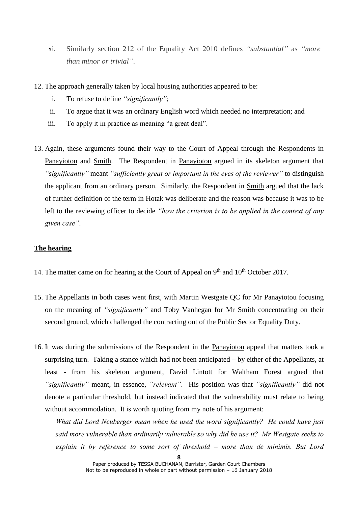- xi. Similarly section 212 of the Equality Act 2010 defines *"substantial"* as *"more than minor or trivial"*.
- 12. The approach generally taken by local housing authorities appeared to be:
	- i. To refuse to define *"significantly"*;
	- ii. To argue that it was an ordinary English word which needed no interpretation; and
	- iii. To apply it in practice as meaning "a great deal".
- 13. Again, these arguments found their way to the Court of Appeal through the Respondents in Panayiotou and Smith. The Respondent in Panayiotou argued in its skeleton argument that *"significantly"* meant *"sufficiently great or important in the eyes of the reviewer"* to distinguish the applicant from an ordinary person. Similarly, the Respondent in Smith argued that the lack of further definition of the term in Hotak was deliberate and the reason was because it was to be left to the reviewing officer to decide *"how the criterion is to be applied in the context of any given case"*.

# **The hearing**

- 14. The matter came on for hearing at the Court of Appeal on 9<sup>th</sup> and 10<sup>th</sup> October 2017.
- 15. The Appellants in both cases went first, with Martin Westgate QC for Mr Panayiotou focusing on the meaning of *"significantly"* and Toby Vanhegan for Mr Smith concentrating on their second ground, which challenged the contracting out of the Public Sector Equality Duty.
- 16. It was during the submissions of the Respondent in the Panayiotou appeal that matters took a surprising turn. Taking a stance which had not been anticipated – by either of the Appellants, at least - from his skeleton argument, David Lintott for Waltham Forest argued that *"significantly"* meant, in essence, *"relevant"*. His position was that *"significantly"* did not denote a particular threshold, but instead indicated that the vulnerability must relate to being without accommodation. It is worth quoting from my note of his argument:

*What did Lord Neuberger mean when he used the word significantly? He could have just said more vulnerable than ordinarily vulnerable so why did he use it? Mr Westgate seeks to explain it by reference to some sort of threshold – more than de minimis. But Lord*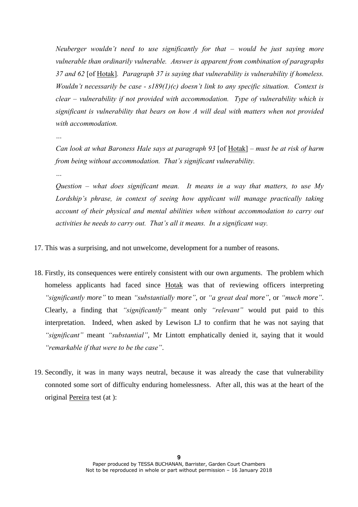*Neuberger wouldn't need to use significantly for that – would be just saying more vulnerable than ordinarily vulnerable. Answer is apparent from combination of paragraphs 37 and 62* [of Hotak]*. Paragraph 37 is saying that vulnerability is vulnerability if homeless. Wouldn't necessarily be case - s189(1)(c) doesn't link to any specific situation. Context is clear – vulnerability if not provided with accommodation. Type of vulnerability which is significant is vulnerability that bears on how A will deal with matters when not provided with accommodation.*

*…*

*Can look at what Baroness Hale says at paragraph 93* [of Hotak] *– must be at risk of harm from being without accommodation. That's significant vulnerability.* 

*…*

*Question – what does significant mean. It means in a way that matters, to use My Lordship's phrase, in context of seeing how applicant will manage practically taking account of their physical and mental abilities when without accommodation to carry out activities he needs to carry out. That's all it means. In a significant way.* 

- 17. This was a surprising, and not unwelcome, development for a number of reasons.
- 18. Firstly, its consequences were entirely consistent with our own arguments. The problem which homeless applicants had faced since Hotak was that of reviewing officers interpreting *"significantly more"* to mean *"substantially more"*, or *"a great deal more"*, or *"much more"*. Clearly, a finding that *"significantly"* meant only *"relevant"* would put paid to this interpretation. Indeed, when asked by Lewison LJ to confirm that he was not saying that *"significant"* meant *"substantial"*, Mr Lintott emphatically denied it, saying that it would *"remarkable if that were to be the case"*.
- 19. Secondly, it was in many ways neutral, because it was already the case that vulnerability connoted some sort of difficulty enduring homelessness. After all, this was at the heart of the original Pereira test (at ):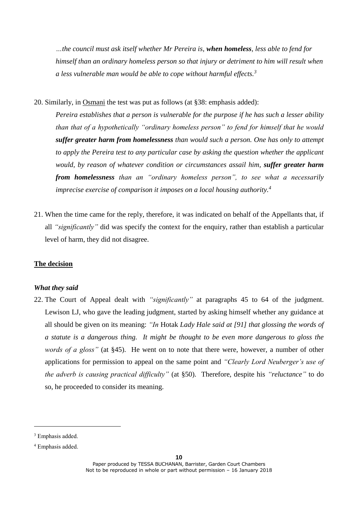*…the council must ask itself whether Mr Pereira is, when homeless, less able to fend for himself than an ordinary homeless person so that injury or detriment to him will result when a less vulnerable man would be able to cope without harmful effects.<sup>3</sup>*

20. Similarly, in Osmani the test was put as follows (at §38: emphasis added):

*Pereira establishes that a person is vulnerable for the purpose if he has such a lesser ability than that of a hypothetically "ordinary homeless person" to fend for himself that he would suffer greater harm from homelessness than would such a person. One has only to attempt to apply the Pereira test to any particular case by asking the question whether the applicant would, by reason of whatever condition or circumstances assail him, suffer greater harm from homelessness than an "ordinary homeless person", to see what a necessarily imprecise exercise of comparison it imposes on a local housing authority.<sup>4</sup>*

21. When the time came for the reply, therefore, it was indicated on behalf of the Appellants that, if all *"significantly"* did was specify the context for the enquiry, rather than establish a particular level of harm, they did not disagree.

#### **The decision**

# *What they said*

22. The Court of Appeal dealt with *"significantly"* at paragraphs 45 to 64 of the judgment. Lewison LJ, who gave the leading judgment, started by asking himself whether any guidance at all should be given on its meaning: *"In* Hotak *Lady Hale said at [91] that glossing the words of a statute is a dangerous thing. It might be thought to be even more dangerous to gloss the words of a gloss"* (at §45). He went on to note that there were, however, a number of other applications for permission to appeal on the same point and *"Clearly Lord Neuberger's use of the adverb is causing practical difficulty"* (at §50). Therefore, despite his *"reluctance"* to do so, he proceeded to consider its meaning.

-

<sup>&</sup>lt;sup>3</sup> Emphasis added.

<sup>4</sup> Emphasis added.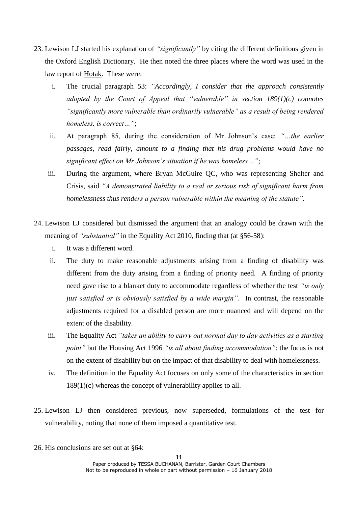- 23. Lewison LJ started his explanation of *"significantly"* by citing the different definitions given in the Oxford English Dictionary. He then noted the three places where the word was used in the law report of Hotak. These were:
	- i. The crucial paragraph 53: *"Accordingly, I consider that the approach consistently adopted by the Court of Appeal that "vulnerable" in section 189(1)(c) connotes "significantly more vulnerable than ordinarily vulnerable" as a result of being rendered homeless, is correct…"*;
	- ii. At paragraph 85, during the consideration of Mr Johnson's case: *"…the earlier passages, read fairly, amount to a finding that his drug problems would have no significant effect on Mr Johnson's situation if he was homeless…"*;
	- iii. During the argument, where Bryan McGuire QC, who was representing Shelter and Crisis, said *"A demonstrated liability to a real or serious risk of significant harm from homelessness thus renders a person vulnerable within the meaning of the statute"*.
- 24. Lewison LJ considered but dismissed the argument that an analogy could be drawn with the meaning of *"substantial"* in the Equality Act 2010, finding that (at §56-58):
	- i. It was a different word.
	- ii. The duty to make reasonable adjustments arising from a finding of disability was different from the duty arising from a finding of priority need. A finding of priority need gave rise to a blanket duty to accommodate regardless of whether the test *"is only just satisfied or is obviously satisfied by a wide margin"*. In contrast, the reasonable adjustments required for a disabled person are more nuanced and will depend on the extent of the disability.
	- iii. The Equality Act *"takes an ability to carry out normal day to day activities as a starting point"* but the Housing Act 1996 *"is all about finding accommodation"*: the focus is not on the extent of disability but on the impact of that disability to deal with homelessness.
	- iv. The definition in the Equality Act focuses on only some of the characteristics in section 189(1)(c) whereas the concept of vulnerability applies to all.
- 25. Lewison LJ then considered previous, now superseded, formulations of the test for vulnerability, noting that none of them imposed a quantitative test.
- 26. His conclusions are set out at §64: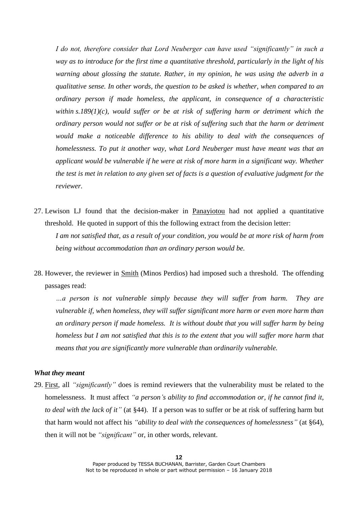*I do not, therefore consider that Lord Neuberger can have used "significantly" in such a way as to introduce for the first time a quantitative threshold, particularly in the light of his warning about glossing the statute. Rather, in my opinion, he was using the adverb in a qualitative sense. In other words, the question to be asked is whether, when compared to an ordinary person if made homeless, the applicant, in consequence of a characteristic within [s.189\(1\)\(c\),](https://login.westlaw.co.uk/maf/wluk/app/document?src=doc&linktype=ref&context=11&crumb-action=replace&docguid=I29758D50E44F11DA8D70A0E70A78ED65) would suffer or be at risk of suffering harm or detriment which the ordinary person would not suffer or be at risk of suffering such that the harm or detriment would make a noticeable difference to his ability to deal with the consequences of homelessness. To put it another way, what Lord Neuberger must have meant was that an applicant would be vulnerable if he were at risk of more harm in a significant way. Whether the test is met in relation to any given set of facts is a question of evaluative judgment for the reviewer.*

27. Lewison LJ found that the decision-maker in Panayiotou had not applied a quantitative threshold. He quoted in support of this the following extract from the decision letter:

*I am not satisfied that, as a result of your condition, you would be at more risk of harm from being without accommodation than an ordinary person would be.*

28. However, the reviewer in Smith (Minos Perdios) had imposed such a threshold. The offending passages read:

*…a person is not vulnerable simply because they will suffer from harm. They are vulnerable if, when homeless, they will suffer significant more harm or even more harm than an ordinary person if made homeless. It is without doubt that you will suffer harm by being homeless but I am not satisfied that this is to the extent that you will suffer more harm that means that you are significantly more vulnerable than ordinarily vulnerable.*

## *What they meant*

29. First, all *"significantly"* does is remind reviewers that the vulnerability must be related to the homelessness. It must affect "a person's ability to find accommodation or, if he cannot find it, *to deal with the lack of it"* (at §44). If a person was to suffer or be at risk of suffering harm but that harm would not affect his *"ability to deal with the consequences of homelessness"* (at §64), then it will not be *"significant"* or, in other words, relevant.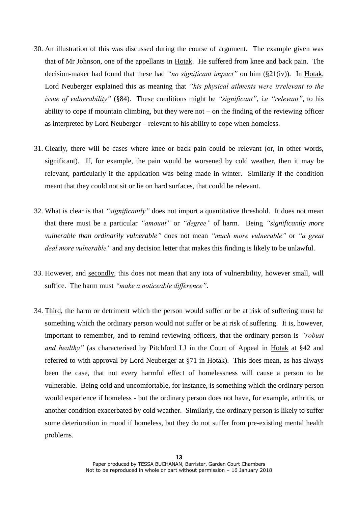- 30. An illustration of this was discussed during the course of argument. The example given was that of Mr Johnson, one of the appellants in Hotak. He suffered from knee and back pain. The decision-maker had found that these had *"no significant impact"* on him (§21(iv)). In Hotak, Lord Neuberger explained this as meaning that *"his physical ailments were irrelevant to the issue of vulnerability"* (§84). These conditions might be *"significant"*, i.e *"relevant"*, to his ability to cope if mountain climbing, but they were not  $-$  on the finding of the reviewing officer as interpreted by Lord Neuberger – relevant to his ability to cope when homeless.
- 31. Clearly, there will be cases where knee or back pain could be relevant (or, in other words, significant). If, for example, the pain would be worsened by cold weather, then it may be relevant, particularly if the application was being made in winter. Similarly if the condition meant that they could not sit or lie on hard surfaces, that could be relevant.
- 32. What is clear is that *"significantly"* does not import a quantitative threshold. It does not mean that there must be a particular *"amount"* or *"degree"* of harm. Being *"significantly more vulnerable than ordinarily vulnerable"* does not mean *"much more vulnerable"* or *"a great deal more vulnerable"* and any decision letter that makes this finding is likely to be unlawful.
- 33. However, and secondly, this does not mean that any iota of vulnerability, however small, will suffice. The harm must *"make a noticeable difference"*.
- 34. Third, the harm or detriment which the person would suffer or be at risk of suffering must be something which the ordinary person would not suffer or be at risk of suffering. It is, however, important to remember, and to remind reviewing officers, that the ordinary person is *"robust and healthy"* (as characterised by Pitchford LJ in the Court of Appeal in Hotak at §42 and referred to with approval by Lord Neuberger at §71 in Hotak). This does mean, as has always been the case, that not every harmful effect of homelessness will cause a person to be vulnerable. Being cold and uncomfortable, for instance, is something which the ordinary person would experience if homeless - but the ordinary person does not have, for example, arthritis, or another condition exacerbated by cold weather. Similarly, the ordinary person is likely to suffer some deterioration in mood if homeless, but they do not suffer from pre-existing mental health problems.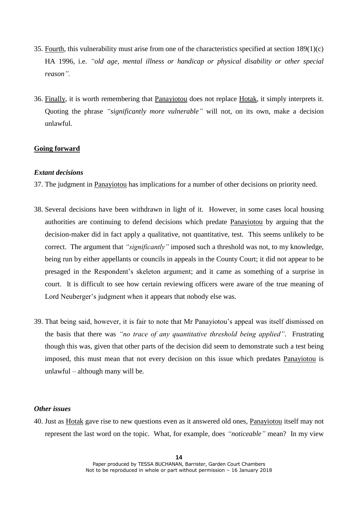- 35. Fourth, this vulnerability must arise from one of the characteristics specified at section 189(1)(c) HA 1996, i.e. *"old age, mental illness or handicap or physical disability or other special reason".*
- 36. Finally, it is worth remembering that Panayiotou does not replace Hotak, it simply interprets it. Quoting the phrase *"significantly more vulnerable"* will not, on its own, make a decision unlawful.

## **Going forward**

## *Extant decisions*

- 37. The judgment in Panayiotou has implications for a number of other decisions on priority need.
- 38. Several decisions have been withdrawn in light of it. However, in some cases local housing authorities are continuing to defend decisions which predate Panayiotou by arguing that the decision-maker did in fact apply a qualitative, not quantitative, test. This seems unlikely to be correct. The argument that *"significantly"* imposed such a threshold was not, to my knowledge, being run by either appellants or councils in appeals in the County Court; it did not appear to be presaged in the Respondent's skeleton argument; and it came as something of a surprise in court. It is difficult to see how certain reviewing officers were aware of the true meaning of Lord Neuberger's judgment when it appears that nobody else was.
- 39. That being said, however, it is fair to note that Mr Panayiotou's appeal was itself dismissed on the basis that there was *"no trace of any quantitative threshold being applied"*. Frustrating though this was, given that other parts of the decision did seem to demonstrate such a test being imposed, this must mean that not every decision on this issue which predates Panayiotou is unlawful – although many will be.

# *Other issues*

40. Just as Hotak gave rise to new questions even as it answered old ones, Panayiotou itself may not represent the last word on the topic. What, for example, does *"noticeable"* mean? In my view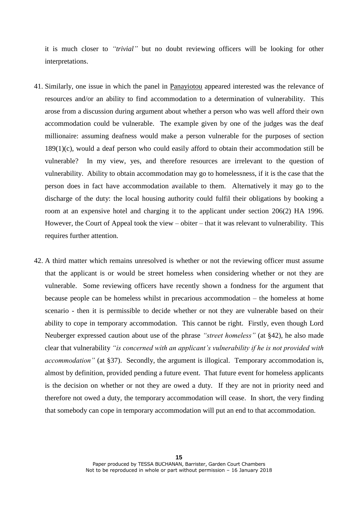it is much closer to *"trivial"* but no doubt reviewing officers will be looking for other interpretations.

- 41. Similarly, one issue in which the panel in Panayiotou appeared interested was the relevance of resources and/or an ability to find accommodation to a determination of vulnerability. This arose from a discussion during argument about whether a person who was well afford their own accommodation could be vulnerable. The example given by one of the judges was the deaf millionaire: assuming deafness would make a person vulnerable for the purposes of section  $189(1)(c)$ , would a deaf person who could easily afford to obtain their accommodation still be vulnerable? In my view, yes, and therefore resources are irrelevant to the question of vulnerability. Ability to obtain accommodation may go to homelessness, if it is the case that the person does in fact have accommodation available to them. Alternatively it may go to the discharge of the duty: the local housing authority could fulfil their obligations by booking a room at an expensive hotel and charging it to the applicant under section 206(2) HA 1996. However, the Court of Appeal took the view – obiter – that it was relevant to vulnerability. This requires further attention.
- 42. A third matter which remains unresolved is whether or not the reviewing officer must assume that the applicant is or would be street homeless when considering whether or not they are vulnerable. Some reviewing officers have recently shown a fondness for the argument that because people can be homeless whilst in precarious accommodation – the homeless at home scenario - then it is permissible to decide whether or not they are vulnerable based on their ability to cope in temporary accommodation. This cannot be right. Firstly, even though Lord Neuberger expressed caution about use of the phrase *"street homeless"* (at §42), he also made clear that vulnerability *"is concerned with an applicant's vulnerability if he is not provided with accommodation*" (at §37). Secondly, the argument is illogical. Temporary accommodation is, almost by definition, provided pending a future event. That future event for homeless applicants is the decision on whether or not they are owed a duty. If they are not in priority need and therefore not owed a duty, the temporary accommodation will cease. In short, the very finding that somebody can cope in temporary accommodation will put an end to that accommodation.